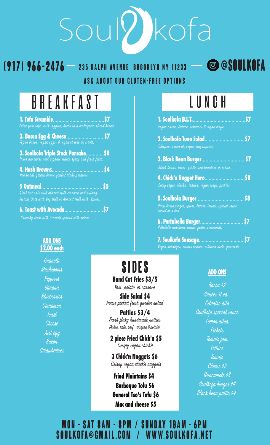# Soullkofa

## **235 Ralph Avenue Brooklyn NY 11233 (917) 966-2476 @Soulkofa Ask about our gluten-free options**

# BREAKFAST

| Extra firm tofu, with veggies, herbs on a multigrain sliced bread.                                            |  |
|---------------------------------------------------------------------------------------------------------------|--|
| 2. Baton Egg & Cheese \$7                                                                                     |  |
| 3. Soulkofa Triple Stack Pancake\$8                                                                           |  |
| Homemade golden brown grilled Idaho potatoes.                                                                 |  |
| Steel Cut oats with almond milk cinamon and nutmeg.<br>Instant Oats with Soy Milk or Almond Milk with Spices. |  |
|                                                                                                               |  |

Crunchy Toast with Avocado spread with spices.

#### **ADD ONS \$2.00 each**

Granola Mushrooms Peppers Banana Blueberries **Cinnamon Toast** Cheese Just egg **Bacon** Strawberries

### **Hand Cut Fries \$3/5 Sides**

Yam, potato, or cassava

House picked fresh garden salad **Side Salad \$4**

(Ackee, kale, beef, chicpea & potato) Fresh flaky handmade patties **Patties \$3/4**

Crispy vegan chick'n **2 piece Fried Chick'n \$5**

Crispy vegan chick'n nuggets **3 Chick'n Nuggets \$6**

**Fried Plaintains \$4 Barbeque Tofu \$6 General Tso's Tofu \$6 Mac and cheese \$5**

# LUNCH

| Vegan bacon, lettuce, tomatoes, & vegan mayo                                    |  |
|---------------------------------------------------------------------------------|--|
| 2. Soulkofa Tuna Salad\$7<br>Chicpea. seaweed. vegan mayo.spices.               |  |
| Black beans, onion, garlic and tomatoes on a bun.                               |  |
| 4. Chick'n Nugget Hero\$8<br>Spicy vegan chick'n, lettuce, vegan mayo, pickles. |  |
| Plant based burger, spices, lettuce, tomato, special sauce,<br>served on a bun. |  |
|                                                                                 |  |

**7. Soulkofa Sausage**................................ **\$7** Vegan sausages, onions pepper, cilantro aioli, guacmoli

#### **ADD ONS**

Bacon \$2 Sauces \$1 ea : Cilantro ailo Soulkofa special sauce Lemon ailoa Pickels Tomato jam Lettuce Tomato Cheese \$2 Guacamole \$3 Soulkofa burger \$4 Black bean pattie \$4

**Mon - sat 8am - 8pm / sunday 10am - 6pm** SOULKOFA@GMAIL.COM /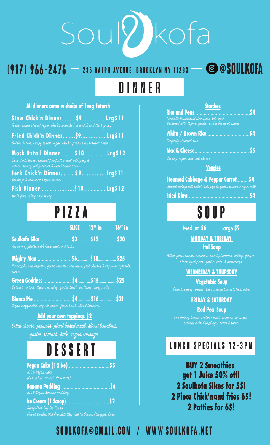# Soullkofa

DINNER

## **235 Ralph Avenue Brooklyn NY 11233 (917) 966-2476 @Soulkofa**

#### **All dinners come w choice of 1veg 1starch**

| Stew Chick'n Dinner\$9 Lrg\$11<br>Tender brown stewed vegan chick'n drenched in a nich and thick gravy.                                |       |                  |                 |
|----------------------------------------------------------------------------------------------------------------------------------------|-------|------------------|-----------------|
| Fried Chick'n Dinner\$9Lrg\$11<br>Golden brown, crispy tender vegan chick'n fried in a seasoned batter                                 |       |                  |                 |
| Mock Oxtail Dinner\$10<br>Succulent, tender braised jackfruit served with pepper.<br>carrot, savory red potatoes & sweet butter beans. |       |                  | Lrg\$ <u>12</u> |
| Jerk Chick'n Dinner\$9<br>Tender jerk seasoned vegan chick'n                                                                           |       |                  | <b>Lrg\$11</b>  |
| Made from celery noot or soy.                                                                                                          |       |                  | Lrg\$12         |
|                                                                                                                                        | PIZZA |                  |                 |
|                                                                                                                                        |       | $SLICE$ $12"$ in | <u>16" in</u>   |
| Vegan mozzarella with housemade marinara                                                                                               |       |                  |                 |
| .<br>Pineapple, ned peppers, green peppers, ned onion, jerk chicken & vegan mozzarella.<br>spices.                                     |       |                  |                 |
| Spinach, onions, thyme, parsley, garlic, basil, scallions, mozzarella.                                                                 |       |                  | \$25            |
|                                                                                                                                        |       |                  |                 |
| <u>Add your own toppings \$2</u>                                                                                                       |       |                  |                 |

Extra cheese, peppers, plant based meat, sliced tomatoes, garlic, spinach, kale, vegan sausage.

# **DESSERT**

| 100% Vegan Cake<br>(Red Velvet, Carrot, Chocolate) |
|----------------------------------------------------|
| 100% Vegan Banana Pudding                          |
| Dairy-Free Soy Ice Cream                           |

(French Vanilla, Mint Chocate Chip, Oat Ice Cream, Pineapple, Oreo)

| <b>Diurches</b>                                     |  |
|-----------------------------------------------------|--|
|                                                     |  |
| Aromatic traditional Jamaican side dish.            |  |
| Seasoned with thyme, garlic, and a blend of spices. |  |

| White / Brown Rice\$4  |  |
|------------------------|--|
| Perfectly steamed nice |  |

**Mac & Cheese....** 

Creamy vegan mac and cheese

**Veggies**

|  | <b>Steamed Cabbage &amp; Pepper Carrot \$4</b>                            |  |
|--|---------------------------------------------------------------------------|--|
|  | Steamed cabbage with carrots salt, pepper, garlic, sautéed w vegan butter |  |

**PIZZA SOUP**

Medium **\$6** Large **\$9**

**MONDAY & TUESDAY** 

**Ital Soup**

Yellow yams, carrots, potatoes, sweet plantains, celery, ginger, black-eyed peas. garlic. kale. & dumplings.

#### **WEDNESDAY & THURSDAY**

**Vegetable Soup** Carrot, celery, onions, beans, pumpkin potatoes, corn.

#### **FRIDAY & SATURDAY**

**Red Pea Soup**

Ked kidney beans, scotch bonnet, peppers, potatoes, coconut milk dumplings, herbs & spices

### **LUNCH SPECIALS 12-3pm**

**BUY 2 Smoothies get 1 Juice 50% off! 2 Soulkofa Slices for 5\$! 2 Piece Chick'n and fries 6\$! 2 Patties for 6\$!**

## **Soulkofa@gmail.com / www.soulkofa.net**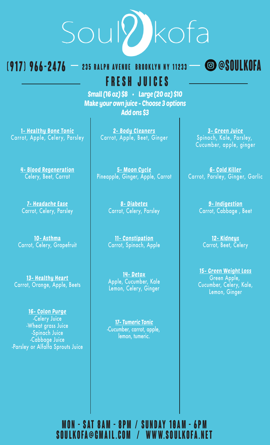# Soullkofa

## **235 Ralph Avenue Brooklyn NY 11233 (917) 966-2476 @Soulkofa**

 **Fresh Juices** Small (16 oz) \$8 • Large (20 oz) \$10

Make your own juice - Choose 3 options Add ons \$3

1- Healthy Bone Tonic Carrot, Apple, Celery, Parsley

> 4- Blood Regeneration Celery, Beet, Carrot

7- Headache Ease Carrot, Celery, Parsley

10- Asthma Carrot, Celery, Grapefruit

13- Healthy Heart Carrot, Orange, Apple, Beets

16- Colon Purge -Celery Juice -Wheat grass Juice -Spinach Juice -Cabbage Juice -Parsley or Alfalfa Sprouts Juice

2- Body Cleaners Carrot, Apple, Beet, Ginger

5- Moon Cycle Pineapple, Ginger, Apple, Carrot

> 8- Diabetes Carrot, Celery, Parsley

> 11- Constipation Carrot, Spinach, Apple

> 14- Detox Apple, Cucumber, Kale Lemon, Celery, Ginger

17- Tumeric Tonic -Cucumber, carrot, apple, lemon, tumeric.

3- Green Juice Spinach, Kale, Parsley, Cucumber, apple, ginger

6- Cold Killer Carrot, Parsley, Ginger, Garlic

> 9- Indigestion Carrot, Cabbage , Beet

12- Kidneys Carrot, Beet, Celery

15- Green Weight Loss Green Apple, Cucumber, Celery, Kale, Lemon, Ginger

## **Mon - sat 8am - 8pm / sunday 10am - 6pm Soulkofa@gmail.com / www.soulkofa.net**